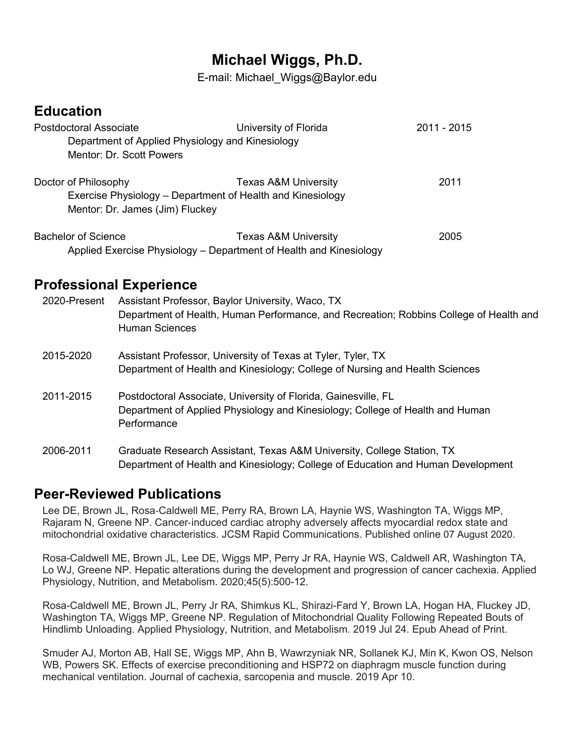# **Michael Wiggs, Ph.D.**

E-mail: Michael\_Wiggs@Baylor.edu

# **Education**

| Postdoctoral Associate                           | University of Florida                                              | 2011 - 2015 |
|--------------------------------------------------|--------------------------------------------------------------------|-------------|
| Department of Applied Physiology and Kinesiology |                                                                    |             |
| Mentor: Dr. Scott Powers                         |                                                                    |             |
| Doctor of Philosophy                             | <b>Texas A&amp;M University</b>                                    | 2011        |
|                                                  | Exercise Physiology - Department of Health and Kinesiology         |             |
| Mentor: Dr. James (Jim) Fluckey                  |                                                                    |             |
| <b>Bachelor of Science</b>                       | <b>Texas A&amp;M University</b>                                    | 2005        |
|                                                  | Applied Exercise Physiology - Department of Health and Kinesiology |             |

## **Professional Experience**

| 2020-Present | Assistant Professor, Baylor University, Waco, TX<br>Department of Health, Human Performance, and Recreation; Robbins College of Health and<br><b>Human Sciences</b> |
|--------------|---------------------------------------------------------------------------------------------------------------------------------------------------------------------|
| 2015-2020    | Assistant Professor, University of Texas at Tyler, Tyler, TX<br>Department of Health and Kinesiology; College of Nursing and Health Sciences                        |
| 2011-2015    | Postdoctoral Associate, University of Florida, Gainesville, FL<br>Department of Applied Physiology and Kinesiology; College of Health and Human<br>Performance      |
| 2006-2011    | Graduate Research Assistant, Texas A&M University, College Station, TX<br>Department of Health and Kinesiology; College of Education and Human Development          |

# **Peer-Reviewed Publications**

Lee DE, Brown JL, Rosa-Caldwell ME, Perry RA, Brown LA, Haynie WS, Washington TA, Wiggs MP, Rajaram N, Greene NP. Cancer-induced cardiac atrophy adversely affects myocardial redox state and mitochondrial oxidative characteristics. JCSM Rapid Communications. Published online 07 August 2020.

Rosa-Caldwell ME, Brown JL, Lee DE, Wiggs MP, Perry Jr RA, Haynie WS, Caldwell AR, Washington TA, Lo WJ, Greene NP. Hepatic alterations during the development and progression of cancer cachexia. Applied Physiology, Nutrition, and Metabolism. 2020;45(5):500-12.

Rosa-Caldwell ME, Brown JL, Perry Jr RA, Shimkus KL, Shirazi-Fard Y, Brown LA, Hogan HA, Fluckey JD, Washington TA, Wiggs MP, Greene NP. Regulation of Mitochondrial Quality Following Repeated Bouts of Hindlimb Unloading. Applied Physiology, Nutrition, and Metabolism. 2019 Jul 24. Epub Ahead of Print.

Smuder AJ, Morton AB, Hall SE, Wiggs MP, Ahn B, Wawrzyniak NR, Sollanek KJ, Min K, Kwon OS, Nelson WB, Powers SK. Effects of exercise preconditioning and HSP72 on diaphragm muscle function during mechanical ventilation. Journal of cachexia, sarcopenia and muscle. 2019 Apr 10.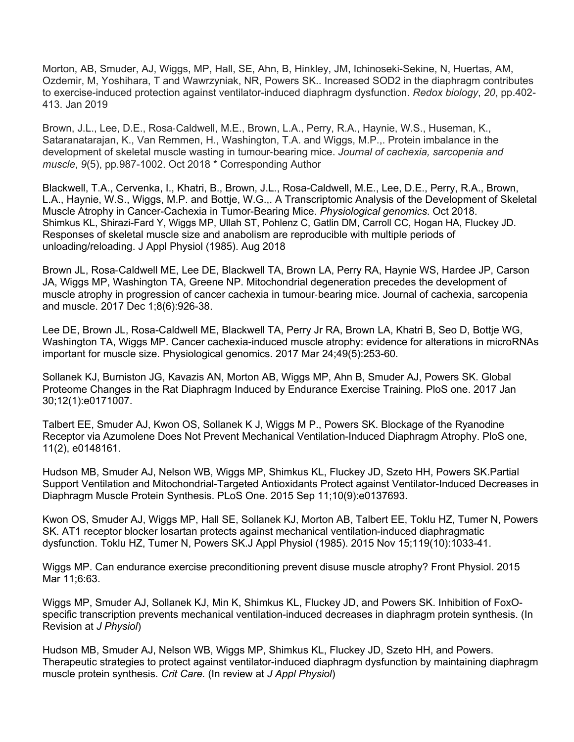Morton, AB, Smuder, AJ, Wiggs, MP, Hall, SE, Ahn, B, Hinkley, JM, Ichinoseki-Sekine, N, Huertas, AM, Ozdemir, M, Yoshihara, T and Wawrzyniak, NR, Powers SK.. Increased SOD2 in the diaphragm contributes to exercise-induced protection against ventilator-induced diaphragm dysfunction. *Redox biology*, *20*, pp.402- 413. Jan 2019

Brown, J.L., Lee, D.E., Rosa-Caldwell, M.E., Brown, L.A., Perry, R.A., Haynie, W.S., Huseman, K., Sataranatarajan, K., Van Remmen, H., Washington, T.A. and Wiggs, M.P.,. Protein imbalance in the development of skeletal muscle wasting in tumour-bearing mice. *Journal of cachexia, sarcopenia and muscle*, *9*(5), pp.987-1002. Oct 2018 \* Corresponding Author

Blackwell, T.A., Cervenka, I., Khatri, B., Brown, J.L., Rosa-Caldwell, M.E., Lee, D.E., Perry, R.A., Brown, L.A., Haynie, W.S., Wiggs, M.P. and Bottje, W.G.,. A Transcriptomic Analysis of the Development of Skeletal Muscle Atrophy in Cancer-Cachexia in Tumor-Bearing Mice. *Physiological genomics*. Oct 2018. Shimkus KL, Shirazi-Fard Y, Wiggs MP, Ullah ST, Pohlenz C, Gatlin DM, Carroll CC, Hogan HA, Fluckey JD. Responses of skeletal muscle size and anabolism are reproducible with multiple periods of unloading/reloading. J Appl Physiol (1985). Aug 2018

Brown JL, Rosa-Caldwell ME, Lee DE, Blackwell TA, Brown LA, Perry RA, Haynie WS, Hardee JP, Carson JA, Wiggs MP, Washington TA, Greene NP. Mitochondrial degeneration precedes the development of muscle atrophy in progression of cancer cachexia in tumour-bearing mice. Journal of cachexia, sarcopenia and muscle. 2017 Dec 1;8(6):926-38.

Lee DE, Brown JL, Rosa-Caldwell ME, Blackwell TA, Perry Jr RA, Brown LA, Khatri B, Seo D, Bottje WG, Washington TA, Wiggs MP. Cancer cachexia-induced muscle atrophy: evidence for alterations in microRNAs important for muscle size. Physiological genomics. 2017 Mar 24;49(5):253-60.

Sollanek KJ, Burniston JG, Kavazis AN, Morton AB, Wiggs MP, Ahn B, Smuder AJ, Powers SK. Global Proteome Changes in the Rat Diaphragm Induced by Endurance Exercise Training. PloS one. 2017 Jan 30;12(1):e0171007.

Talbert EE, Smuder AJ, Kwon OS, Sollanek K J, Wiggs M P., Powers SK. Blockage of the Ryanodine Receptor via Azumolene Does Not Prevent Mechanical Ventilation-Induced Diaphragm Atrophy. PloS one, 11(2), e0148161.

Hudson MB, Smuder AJ, Nelson WB, Wiggs MP, Shimkus KL, Fluckey JD, Szeto HH, Powers SK.Partial Support Ventilation and Mitochondrial-Targeted Antioxidants Protect against Ventilator-Induced Decreases in Diaphragm Muscle Protein Synthesis. PLoS One. 2015 Sep 11;10(9):e0137693.

Kwon OS, Smuder AJ, Wiggs MP, Hall SE, Sollanek KJ, Morton AB, Talbert EE, Toklu HZ, Tumer N, Powers SK. AT1 receptor blocker losartan protects against mechanical ventilation-induced diaphragmatic dysfunction. Toklu HZ, Tumer N, Powers SK.J Appl Physiol (1985). 2015 Nov 15;119(10):1033-41.

Wiggs MP. Can endurance exercise preconditioning prevent disuse muscle atrophy? Front Physiol. 2015 Mar 11;6:63.

Wiggs MP, Smuder AJ, Sollanek KJ, Min K, Shimkus KL, Fluckey JD, and Powers SK. Inhibition of FoxOspecific transcription prevents mechanical ventilation-induced decreases in diaphragm protein synthesis. (In Revision at *J Physiol*)

Hudson MB, Smuder AJ, Nelson WB, Wiggs MP, Shimkus KL, Fluckey JD, Szeto HH, and Powers. Therapeutic strategies to protect against ventilator-induced diaphragm dysfunction by maintaining diaphragm muscle protein synthesis. *Crit Care.* (In review at *J Appl Physiol*)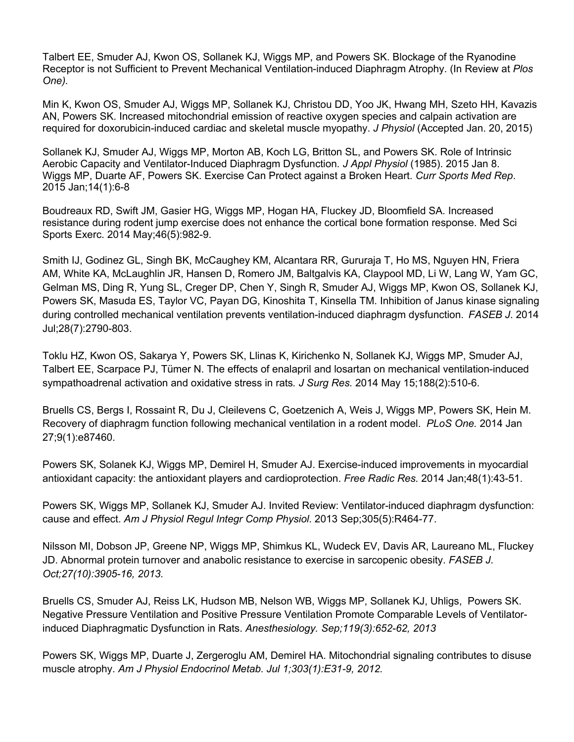Talbert EE, Smuder AJ, Kwon OS, Sollanek KJ, Wiggs MP, and Powers SK. Blockage of the Ryanodine Receptor is not Sufficient to Prevent Mechanical Ventilation-induced Diaphragm Atrophy. (In Review at *Plos One).*

Min K, Kwon OS, Smuder AJ, Wiggs MP, Sollanek KJ, Christou DD, Yoo JK, Hwang MH, Szeto HH, Kavazis AN, Powers SK. Increased mitochondrial emission of reactive oxygen species and calpain activation are required for doxorubicin-induced cardiac and skeletal muscle myopathy. *J Physiol* (Accepted Jan. 20, 2015)

Sollanek KJ, Smuder AJ, Wiggs MP, Morton AB, Koch LG, Britton SL, and Powers SK. Role of Intrinsic Aerobic Capacity and Ventilator-Induced Diaphragm Dysfunction*. J Appl Physiol* (1985). 2015 Jan 8. Wiggs MP, Duarte AF, Powers SK. Exercise Can Protect against a Broken Heart. *Curr Sports Med Rep*. 2015 Jan;14(1):6-8

Boudreaux RD, Swift JM, Gasier HG, Wiggs MP, Hogan HA, Fluckey JD, Bloomfield SA. Increased resistance during rodent jump exercise does not enhance the cortical bone formation response. Med Sci Sports Exerc. 2014 May;46(5):982-9.

Smith IJ, Godinez GL, Singh BK, McCaughey KM, Alcantara RR, Gururaja T, Ho MS, Nguyen HN, Friera AM, White KA, McLaughlin JR, Hansen D, Romero JM, Baltgalvis KA, Claypool MD, Li W, Lang W, Yam GC, Gelman MS, Ding R, Yung SL, Creger DP, Chen Y, Singh R, Smuder AJ, Wiggs MP, Kwon OS, Sollanek KJ, Powers SK, Masuda ES, Taylor VC, Payan DG, Kinoshita T, Kinsella TM. Inhibition of Janus kinase signaling during controlled mechanical ventilation prevents ventilation-induced diaphragm dysfunction. *FASEB J*. 2014 Jul;28(7):2790-803.

Toklu HZ, Kwon OS, Sakarya Y, Powers SK, Llinas K, Kirichenko N, Sollanek KJ, Wiggs MP, Smuder AJ, Talbert EE, Scarpace PJ, Tümer N. The effects of enalapril and losartan on mechanical ventilation-induced sympathoadrenal activation and oxidative stress in rats*. J Surg Res.* 2014 May 15;188(2):510-6.

Bruells CS, Bergs I, Rossaint R, Du J, Cleilevens C, Goetzenich A, Weis J, Wiggs MP, Powers SK, Hein M. Recovery of diaphragm function following mechanical ventilation in a rodent model. *PLoS One.* 2014 Jan 27;9(1):e87460.

Powers SK, Solanek KJ, Wiggs MP, Demirel H, Smuder AJ. Exercise-induced improvements in myocardial antioxidant capacity: the antioxidant players and cardioprotection. *Free Radic Res.* 2014 Jan;48(1):43-51.

Powers SK, Wiggs MP, Sollanek KJ, Smuder AJ. Invited Review: Ventilator-induced diaphragm dysfunction: cause and effect. *Am J Physiol Regul Integr Comp Physiol*. 2013 Sep;305(5):R464-77.

Nilsson MI, Dobson JP, Greene NP, Wiggs MP, Shimkus KL, Wudeck EV, Davis AR, Laureano ML, Fluckey JD. Abnormal protein turnover and anabolic resistance to exercise in sarcopenic obesity. *FASEB J*. *Oct;27(10):3905-16, 2013.*

Bruells CS, Smuder AJ, Reiss LK, Hudson MB, Nelson WB, Wiggs MP, Sollanek KJ, Uhligs, Powers SK. Negative Pressure Ventilation and Positive Pressure Ventilation Promote Comparable Levels of Ventilatorinduced Diaphragmatic Dysfunction in Rats. *Anesthesiology. Sep;119(3):652-62, 2013*

Powers SK, Wiggs MP, Duarte J, Zergeroglu AM, Demirel HA. Mitochondrial signaling contributes to disuse muscle atrophy. *Am J Physiol Endocrinol Metab. Jul 1;303(1):E31-9, 2012.*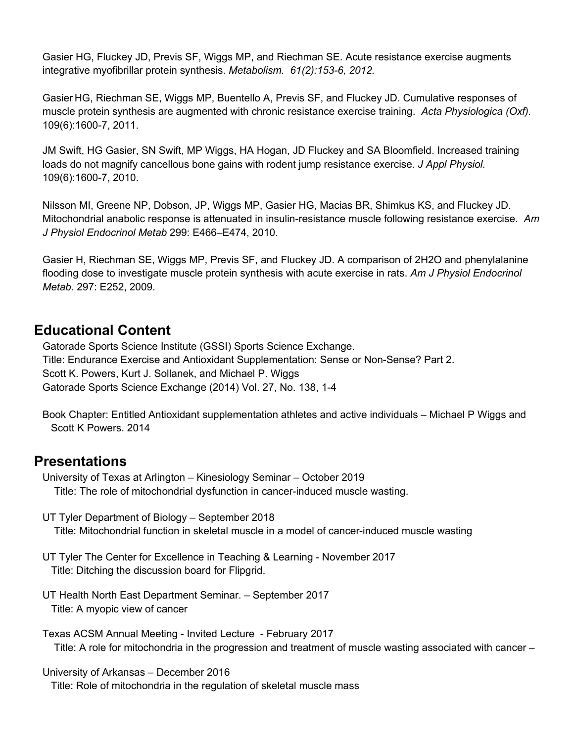Gasier HG, Fluckey JD, Previs SF, Wiggs MP, and Riechman SE. Acute resistance exercise augments integrative myofibrillar protein synthesis. *Metabolism. 61(2):153-6, 2012.*

Gasier HG, Riechman SE, Wiggs MP, Buentello A, Previs SF, and Fluckey JD. Cumulative responses of muscle protein synthesis are augmented with chronic resistance exercise training. *Acta Physiologica (Oxf).*  109(6):1600-7, 2011.

JM Swift, HG Gasier, SN Swift, MP Wiggs, HA Hogan, JD Fluckey and SA Bloomfield. Increased training loads do not magnify cancellous bone gains with rodent jump resistance exercise. *J Appl Physiol.*  109(6):1600-7, 2010.

Nilsson MI, Greene NP, Dobson, JP, Wiggs MP, Gasier HG, Macias BR, Shimkus KS, and Fluckey JD. Mitochondrial anabolic response is attenuated in insulin-resistance muscle following resistance exercise. *Am J Physiol Endocrinol Metab* 299: E466–E474, 2010.

Gasier H, Riechman SE, Wiggs MP, Previs SF, and Fluckey JD. A comparison of 2H2O and phenylalanine flooding dose to investigate muscle protein synthesis with acute exercise in rats. *Am J Physiol Endocrinol Metab*. 297: E252, 2009.

# **Educational Content**

 Gatorade Sports Science Institute (GSSI) Sports Science Exchange. Title: Endurance Exercise and Antioxidant Supplementation: Sense or Non-Sense? Part 2. Scott K. Powers, Kurt J. Sollanek, and Michael P. Wiggs Gatorade Sports Science Exchange (2014) Vol. 27, No. 138, 1-4

Book Chapter: Entitled Antioxidant supplementation athletes and active individuals – Michael P Wiggs and Scott K Powers. 2014

## **Presentations**

University of Texas at Arlington – Kinesiology Seminar – October 2019 Title: The role of mitochondrial dysfunction in cancer-induced muscle wasting.

- UT Tyler Department of Biology September 2018 Title: Mitochondrial function in skeletal muscle in a model of cancer-induced muscle wasting
- UT Tyler The Center for Excellence in Teaching & Learning November 2017 Title: Ditching the discussion board for Flipgrid.
- UT Health North East Department Seminar. September 2017 Title: A myopic view of cancer

Texas ACSM Annual Meeting - Invited Lecture - February 2017 Title: A role for mitochondria in the progression and treatment of muscle wasting associated with cancer –

#### University of Arkansas – December 2016

Title: Role of mitochondria in the regulation of skeletal muscle mass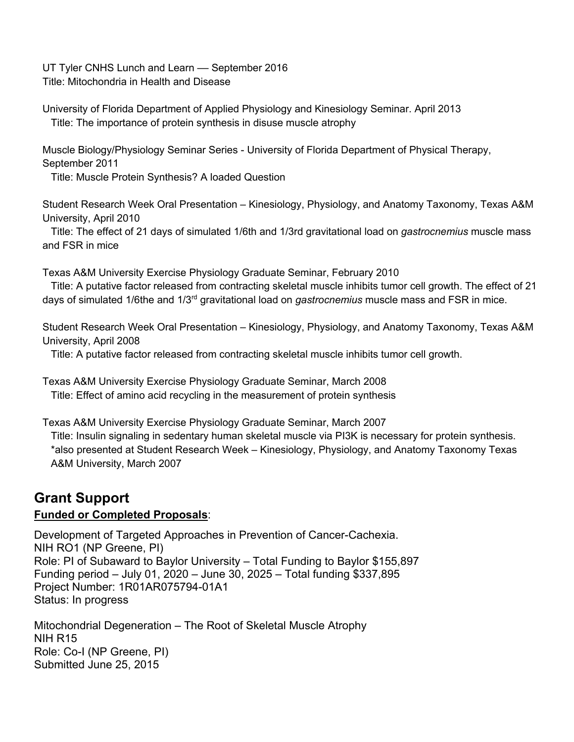UT Tyler CNHS Lunch and Learn - September 2016 Title: Mitochondria in Health and Disease

University of Florida Department of Applied Physiology and Kinesiology Seminar. April 2013 Title: The importance of protein synthesis in disuse muscle atrophy

Muscle Biology/Physiology Seminar Series - University of Florida Department of Physical Therapy, September 2011

Title: Muscle Protein Synthesis? A loaded Question

Student Research Week Oral Presentation – Kinesiology, Physiology, and Anatomy Taxonomy, Texas A&M University, April 2010

Title: The effect of 21 days of simulated 1/6th and 1/3rd gravitational load on *gastrocnemius* muscle mass and FSR in mice

Texas A&M University Exercise Physiology Graduate Seminar, February 2010

Title: A putative factor released from contracting skeletal muscle inhibits tumor cell growth. The effect of 21 days of simulated 1/6the and 1/3rd gravitational load on *gastrocnemius* muscle mass and FSR in mice.

Student Research Week Oral Presentation – Kinesiology, Physiology, and Anatomy Taxonomy, Texas A&M University, April 2008

Title: A putative factor released from contracting skeletal muscle inhibits tumor cell growth.

Texas A&M University Exercise Physiology Graduate Seminar, March 2008 Title: Effect of amino acid recycling in the measurement of protein synthesis

Texas A&M University Exercise Physiology Graduate Seminar, March 2007 Title: Insulin signaling in sedentary human skeletal muscle via PI3K is necessary for protein synthesis. \*also presented at Student Research Week – Kinesiology, Physiology, and Anatomy Taxonomy Texas A&M University, March 2007

# **Grant Support**

### **Funded or Completed Proposals**:

Development of Targeted Approaches in Prevention of Cancer-Cachexia. NIH RO1 (NP Greene, PI) Role: PI of Subaward to Baylor University – Total Funding to Baylor \$155,897 Funding period – July 01, 2020 – June 30, 2025 – Total funding \$337,895 Project Number: 1R01AR075794-01A1 Status: In progress

Mitochondrial Degeneration – The Root of Skeletal Muscle Atrophy NIH R15 Role: Co-I (NP Greene, PI) Submitted June 25, 2015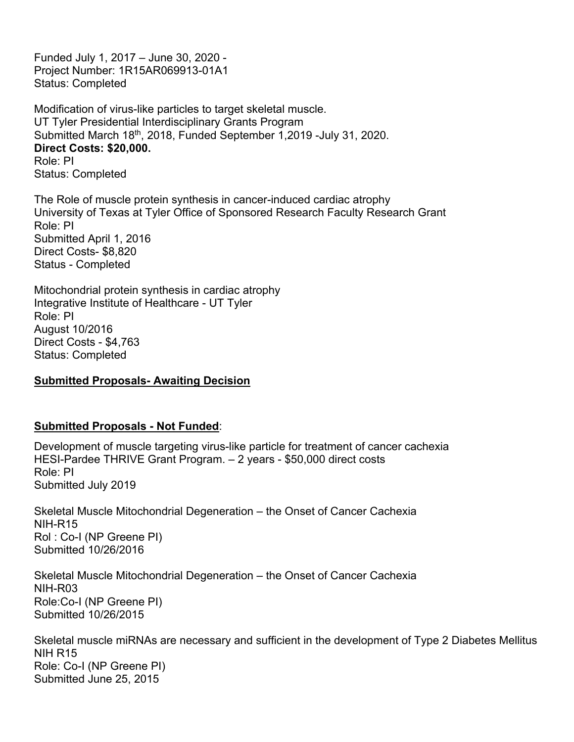Funded July 1, 2017 – June 30, 2020 - Project Number: 1R15AR069913-01A1 Status: Completed

Modification of virus-like particles to target skeletal muscle. UT Tyler Presidential Interdisciplinary Grants Program Submitted March 18<sup>th</sup>, 2018, Funded September 1,2019 -July 31, 2020. **Direct Costs: \$20,000.** Role: PI Status: Completed

The Role of muscle protein synthesis in cancer-induced cardiac atrophy University of Texas at Tyler Office of Sponsored Research Faculty Research Grant Role: PI Submitted April 1, 2016 Direct Costs- \$8,820 Status - Completed

Mitochondrial protein synthesis in cardiac atrophy Integrative Institute of Healthcare - UT Tyler Role: PI August 10/2016 Direct Costs - \$4,763 Status: Completed

#### **Submitted Proposals- Awaiting Decision**

#### **Submitted Proposals - Not Funded**:

Development of muscle targeting virus-like particle for treatment of cancer cachexia HESI-Pardee THRIVE Grant Program. – 2 years - \$50,000 direct costs Role: PI Submitted July 2019

Skeletal Muscle Mitochondrial Degeneration – the Onset of Cancer Cachexia NIH-R15 Rol : Co-I (NP Greene PI) Submitted 10/26/2016

Skeletal Muscle Mitochondrial Degeneration – the Onset of Cancer Cachexia NIH-R03 Role:Co-I (NP Greene PI) Submitted 10/26/2015

Skeletal muscle miRNAs are necessary and sufficient in the development of Type 2 Diabetes Mellitus NIH R15 Role: Co-I (NP Greene PI) Submitted June 25, 2015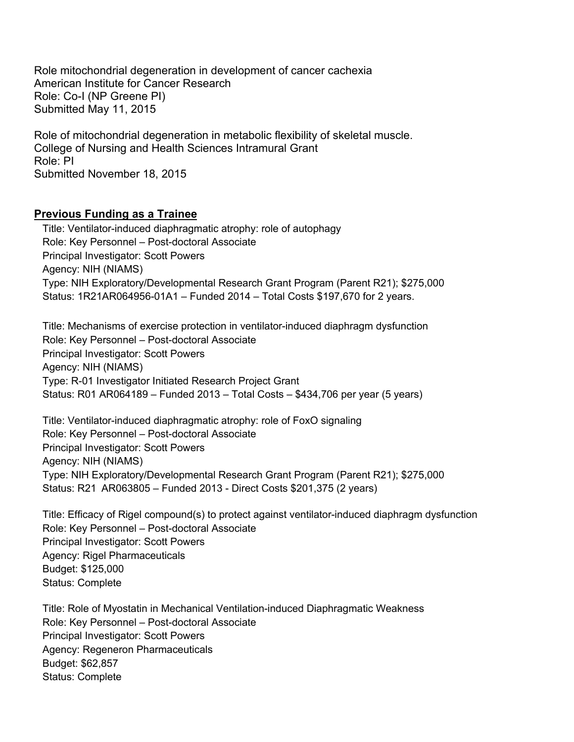Role mitochondrial degeneration in development of cancer cachexia American Institute for Cancer Research Role: Co-I (NP Greene PI) Submitted May 11, 2015

Role of mitochondrial degeneration in metabolic flexibility of skeletal muscle. College of Nursing and Health Sciences Intramural Grant Role: PI Submitted November 18, 2015

#### **Previous Funding as a Trainee**

Title: Ventilator-induced diaphragmatic atrophy: role of autophagy Role: Key Personnel – Post-doctoral Associate Principal Investigator: Scott Powers Agency: NIH (NIAMS) Type: NIH Exploratory/Developmental Research Grant Program (Parent R21); \$275,000 Status: 1R21AR064956-01A1 – Funded 2014 – Total Costs \$197,670 for 2 years.

Title: Mechanisms of exercise protection in ventilator-induced diaphragm dysfunction Role: Key Personnel – Post-doctoral Associate Principal Investigator: Scott Powers Agency: NIH (NIAMS) Type: R-01 Investigator Initiated Research Project Grant Status: R01 AR064189 – Funded 2013 – Total Costs – \$434,706 per year (5 years)

Title: Ventilator-induced diaphragmatic atrophy: role of FoxO signaling Role: Key Personnel – Post-doctoral Associate Principal Investigator: Scott Powers Agency: NIH (NIAMS) Type: NIH Exploratory/Developmental Research Grant Program (Parent R21); \$275,000 Status: R21 AR063805 – Funded 2013 - Direct Costs \$201,375 (2 years)

Title: Efficacy of Rigel compound(s) to protect against ventilator-induced diaphragm dysfunction Role: Key Personnel – Post-doctoral Associate Principal Investigator: Scott Powers Agency: Rigel Pharmaceuticals Budget: \$125,000 Status: Complete

Title: Role of Myostatin in Mechanical Ventilation-induced Diaphragmatic Weakness Role: Key Personnel – Post-doctoral Associate Principal Investigator: Scott Powers Agency: Regeneron Pharmaceuticals Budget: \$62,857 Status: Complete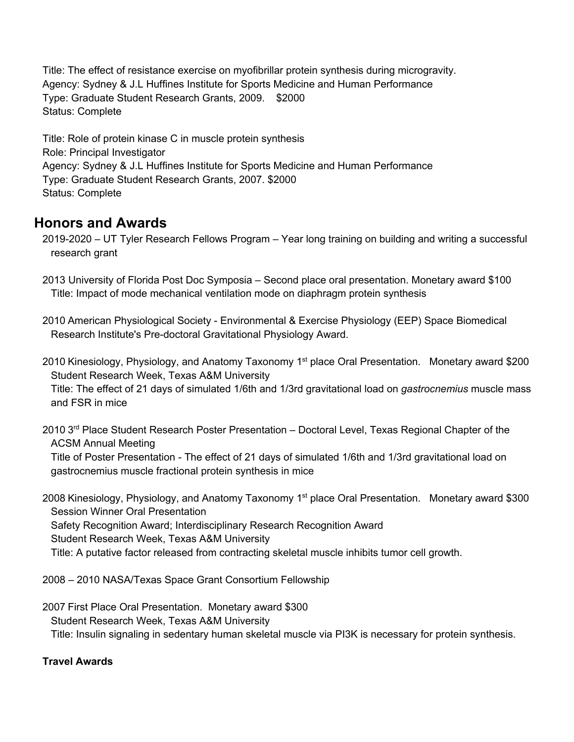Title: The effect of resistance exercise on myofibrillar protein synthesis during microgravity. Agency: Sydney & J.L Huffines Institute for Sports Medicine and Human Performance Type: Graduate Student Research Grants, 2009. \$2000 Status: Complete

Title: Role of protein kinase C in muscle protein synthesis Role: Principal Investigator Agency: Sydney & J.L Huffines Institute for Sports Medicine and Human Performance Type: Graduate Student Research Grants, 2007. \$2000 Status: Complete

# **Honors and Awards**

2019-2020 – UT Tyler Research Fellows Program – Year long training on building and writing a successful research grant

- 2013 University of Florida Post Doc Symposia Second place oral presentation. Monetary award \$100 Title: Impact of mode mechanical ventilation mode on diaphragm protein synthesis
- 2010 American Physiological Society Environmental & Exercise Physiology (EEP) Space Biomedical Research Institute's Pre-doctoral Gravitational Physiology Award.
- 2010 Kinesiology, Physiology, and Anatomy Taxonomy 1<sup>st</sup> place Oral Presentation. Monetary award \$200 Student Research Week, Texas A&M University

Title: The effect of 21 days of simulated 1/6th and 1/3rd gravitational load on *gastrocnemius* muscle mass and FSR in mice

2010 3<sup>rd</sup> Place Student Research Poster Presentation – Doctoral Level, Texas Regional Chapter of the ACSM Annual Meeting

Title of Poster Presentation - The effect of 21 days of simulated 1/6th and 1/3rd gravitational load on gastrocnemius muscle fractional protein synthesis in mice

2008 Kinesiology, Physiology, and Anatomy Taxonomy 1<sup>st</sup> place Oral Presentation. Monetary award \$300 Session Winner Oral Presentation Safety Recognition Award; Interdisciplinary Research Recognition Award Student Research Week, Texas A&M University

Title: A putative factor released from contracting skeletal muscle inhibits tumor cell growth.

2008 – 2010 NASA/Texas Space Grant Consortium Fellowship

2007 First Place Oral Presentation. Monetary award \$300 Student Research Week, Texas A&M University Title: Insulin signaling in sedentary human skeletal muscle via PI3K is necessary for protein synthesis.

### **Travel Awards**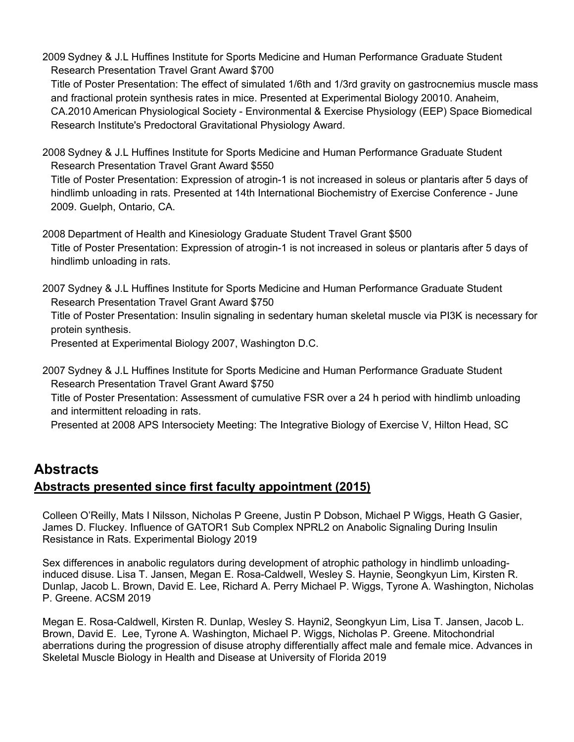2009 Sydney & J.L Huffines Institute for Sports Medicine and Human Performance Graduate Student Research Presentation Travel Grant Award \$700

Title of Poster Presentation: The effect of simulated 1/6th and 1/3rd gravity on gastrocnemius muscle mass and fractional protein synthesis rates in mice. Presented at Experimental Biology 20010. Anaheim, CA.2010 American Physiological Society - Environmental & Exercise Physiology (EEP) Space Biomedical Research Institute's Predoctoral Gravitational Physiology Award.

2008 Sydney & J.L Huffines Institute for Sports Medicine and Human Performance Graduate Student Research Presentation Travel Grant Award \$550

Title of Poster Presentation: Expression of atrogin-1 is not increased in soleus or plantaris after 5 days of hindlimb unloading in rats. Presented at 14th International Biochemistry of Exercise Conference - June 2009. Guelph, Ontario, CA.

2008 Department of Health and Kinesiology Graduate Student Travel Grant \$500 Title of Poster Presentation: Expression of atrogin-1 is not increased in soleus or plantaris after 5 days of hindlimb unloading in rats.

2007 Sydney & J.L Huffines Institute for Sports Medicine and Human Performance Graduate Student Research Presentation Travel Grant Award \$750

Title of Poster Presentation: Insulin signaling in sedentary human skeletal muscle via PI3K is necessary for protein synthesis.

Presented at Experimental Biology 2007, Washington D.C.

2007 Sydney & J.L Huffines Institute for Sports Medicine and Human Performance Graduate Student Research Presentation Travel Grant Award \$750

Title of Poster Presentation: Assessment of cumulative FSR over a 24 h period with hindlimb unloading and intermittent reloading in rats.

Presented at 2008 APS Intersociety Meeting: The Integrative Biology of Exercise V, Hilton Head, SC

# **Abstracts**

### **Abstracts presented since first faculty appointment (2015)**

Colleen O'Reilly, Mats I Nilsson, Nicholas P Greene, Justin P Dobson, Michael P Wiggs, Heath G Gasier, James D. Fluckey. Influence of GATOR1 Sub Complex NPRL2 on Anabolic Signaling During Insulin Resistance in Rats. Experimental Biology 2019

Sex differences in anabolic regulators during development of atrophic pathology in hindlimb unloadinginduced disuse. Lisa T. Jansen, Megan E. Rosa-Caldwell, Wesley S. Haynie, Seongkyun Lim, Kirsten R. Dunlap, Jacob L. Brown, David E. Lee, Richard A. Perry Michael P. Wiggs, Tyrone A. Washington, Nicholas P. Greene. ACSM 2019

Megan E. Rosa-Caldwell, Kirsten R. Dunlap, Wesley S. Hayni2, Seongkyun Lim, Lisa T. Jansen, Jacob L. Brown, David E. Lee, Tyrone A. Washington, Michael P. Wiggs, Nicholas P. Greene. Mitochondrial aberrations during the progression of disuse atrophy differentially affect male and female mice. Advances in Skeletal Muscle Biology in Health and Disease at University of Florida 2019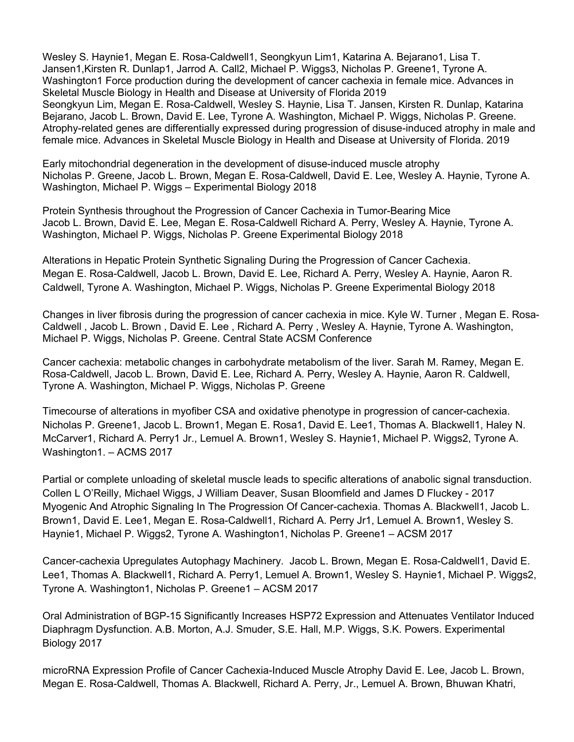Wesley S. Haynie1, Megan E. Rosa-Caldwell1, Seongkyun Lim1, Katarina A. Bejarano1, Lisa T. Jansen1,Kirsten R. Dunlap1, Jarrod A. Call2, Michael P. Wiggs3, Nicholas P. Greene1, Tyrone A. Washington1 Force production during the development of cancer cachexia in female mice. Advances in Skeletal Muscle Biology in Health and Disease at University of Florida 2019 Seongkyun Lim, Megan E. Rosa-Caldwell, Wesley S. Haynie, Lisa T. Jansen, Kirsten R. Dunlap, Katarina Bejarano, Jacob L. Brown, David E. Lee, Tyrone A. Washington, Michael P. Wiggs, Nicholas P. Greene. Atrophy-related genes are differentially expressed during progression of disuse-induced atrophy in male and female mice. Advances in Skeletal Muscle Biology in Health and Disease at University of Florida. 2019

Early mitochondrial degeneration in the development of disuse-induced muscle atrophy Nicholas P. Greene, Jacob L. Brown, Megan E. Rosa-Caldwell, David E. Lee, Wesley A. Haynie, Tyrone A. Washington, Michael P. Wiggs – Experimental Biology 2018

Protein Synthesis throughout the Progression of Cancer Cachexia in Tumor-Bearing Mice Jacob L. Brown, David E. Lee, Megan E. Rosa-Caldwell Richard A. Perry, Wesley A. Haynie, Tyrone A. Washington, Michael P. Wiggs, Nicholas P. Greene Experimental Biology 2018

Alterations in Hepatic Protein Synthetic Signaling During the Progression of Cancer Cachexia. Megan E. Rosa-Caldwell, Jacob L. Brown, David E. Lee, Richard A. Perry, Wesley A. Haynie, Aaron R. Caldwell, Tyrone A. Washington, Michael P. Wiggs, Nicholas P. Greene Experimental Biology 2018

Changes in liver fibrosis during the progression of cancer cachexia in mice. Kyle W. Turner , Megan E. Rosa-Caldwell , Jacob L. Brown , David E. Lee , Richard A. Perry , Wesley A. Haynie, Tyrone A. Washington, Michael P. Wiggs, Nicholas P. Greene. Central State ACSM Conference

Cancer cachexia: metabolic changes in carbohydrate metabolism of the liver. Sarah M. Ramey, Megan E. Rosa-Caldwell, Jacob L. Brown, David E. Lee, Richard A. Perry, Wesley A. Haynie, Aaron R. Caldwell, Tyrone A. Washington, Michael P. Wiggs, Nicholas P. Greene

Timecourse of alterations in myofiber CSA and oxidative phenotype in progression of cancer-cachexia. Nicholas P. Greene1, Jacob L. Brown1, Megan E. Rosa1, David E. Lee1, Thomas A. Blackwell1, Haley N. McCarver1, Richard A. Perry1 Jr., Lemuel A. Brown1, Wesley S. Haynie1, Michael P. Wiggs2, Tyrone A. Washington1. – ACMS 2017

Partial or complete unloading of skeletal muscle leads to specific alterations of anabolic signal transduction. Collen L O'Reilly, Michael Wiggs, J William Deaver, Susan Bloomfield and James D Fluckey - 2017 Myogenic And Atrophic Signaling In The Progression Of Cancer-cachexia. Thomas A. Blackwell1, Jacob L. Brown1, David E. Lee1, Megan E. Rosa-Caldwell1, Richard A. Perry Jr1, Lemuel A. Brown1, Wesley S. Haynie1, Michael P. Wiggs2, Tyrone A. Washington1, Nicholas P. Greene1 – ACSM 2017

Cancer-cachexia Upregulates Autophagy Machinery. Jacob L. Brown, Megan E. Rosa-Caldwell1, David E. Lee1, Thomas A. Blackwell1, Richard A. Perry1, Lemuel A. Brown1, Wesley S. Haynie1, Michael P. Wiggs2, Tyrone A. Washington1, Nicholas P. Greene1 – ACSM 2017

Oral Administration of BGP-15 Significantly Increases HSP72 Expression and Attenuates Ventilator Induced Diaphragm Dysfunction. A.B. Morton, A.J. Smuder, S.E. Hall, M.P. Wiggs, S.K. Powers. Experimental Biology 2017

microRNA Expression Profile of Cancer Cachexia-Induced Muscle Atrophy David E. Lee, Jacob L. Brown, Megan E. Rosa-Caldwell, Thomas A. Blackwell, Richard A. Perry, Jr., Lemuel A. Brown, Bhuwan Khatri,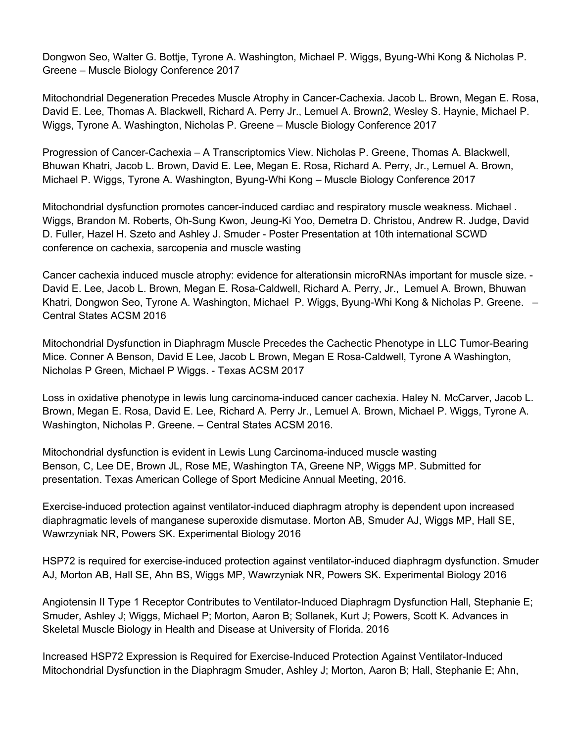Dongwon Seo, Walter G. Bottje, Tyrone A. Washington, Michael P. Wiggs, Byung-Whi Kong & Nicholas P. Greene – Muscle Biology Conference 2017

Mitochondrial Degeneration Precedes Muscle Atrophy in Cancer-Cachexia. Jacob L. Brown, Megan E. Rosa, David E. Lee, Thomas A. Blackwell, Richard A. Perry Jr., Lemuel A. Brown2, Wesley S. Haynie, Michael P. Wiggs, Tyrone A. Washington, Nicholas P. Greene – Muscle Biology Conference 2017

Progression of Cancer-Cachexia – A Transcriptomics View. Nicholas P. Greene, Thomas A. Blackwell, Bhuwan Khatri, Jacob L. Brown, David E. Lee, Megan E. Rosa, Richard A. Perry, Jr., Lemuel A. Brown, Michael P. Wiggs, Tyrone A. Washington, Byung-Whi Kong – Muscle Biology Conference 2017

Mitochondrial dysfunction promotes cancer-induced cardiac and respiratory muscle weakness. Michael . Wiggs, Brandon M. Roberts, Oh-Sung Kwon, Jeung-Ki Yoo, Demetra D. Christou, Andrew R. Judge, David D. Fuller, Hazel H. Szeto and Ashley J. Smuder - Poster Presentation at 10th international SCWD conference on cachexia, sarcopenia and muscle wasting

Cancer cachexia induced muscle atrophy: evidence for alterationsin microRNAs important for muscle size. - David E. Lee, Jacob L. Brown, Megan E. Rosa-Caldwell, Richard A. Perry, Jr., Lemuel A. Brown, Bhuwan Khatri, Dongwon Seo, Tyrone A. Washington, Michael P. Wiggs, Byung-Whi Kong & Nicholas P. Greene. – Central States ACSM 2016

Mitochondrial Dysfunction in Diaphragm Muscle Precedes the Cachectic Phenotype in LLC Tumor-Bearing Mice. Conner A Benson, David E Lee, Jacob L Brown, Megan E Rosa-Caldwell, Tyrone A Washington, Nicholas P Green, Michael P Wiggs. - Texas ACSM 2017

Loss in oxidative phenotype in lewis lung carcinoma-induced cancer cachexia. Haley N. McCarver, Jacob L. Brown, Megan E. Rosa, David E. Lee, Richard A. Perry Jr., Lemuel A. Brown, Michael P. Wiggs, Tyrone A. Washington, Nicholas P. Greene. – Central States ACSM 2016.

Mitochondrial dysfunction is evident in Lewis Lung Carcinoma-induced muscle wasting Benson, C, Lee DE, Brown JL, Rose ME, Washington TA, Greene NP, Wiggs MP. Submitted for presentation. Texas American College of Sport Medicine Annual Meeting, 2016.

Exercise-induced protection against ventilator-induced diaphragm atrophy is dependent upon increased diaphragmatic levels of manganese superoxide dismutase. Morton AB, Smuder AJ, Wiggs MP, Hall SE, Wawrzyniak NR, Powers SK. Experimental Biology 2016

HSP72 is required for exercise-induced protection against ventilator-induced diaphragm dysfunction. Smuder AJ, Morton AB, Hall SE, Ahn BS, Wiggs MP, Wawrzyniak NR, Powers SK. Experimental Biology 2016

Angiotensin II Type 1 Receptor Contributes to Ventilator-Induced Diaphragm Dysfunction Hall, Stephanie E; Smuder, Ashley J; Wiggs, Michael P; Morton, Aaron B; Sollanek, Kurt J; Powers, Scott K. Advances in Skeletal Muscle Biology in Health and Disease at University of Florida. 2016

Increased HSP72 Expression is Required for Exercise-Induced Protection Against Ventilator-Induced Mitochondrial Dysfunction in the Diaphragm Smuder, Ashley J; Morton, Aaron B; Hall, Stephanie E; Ahn,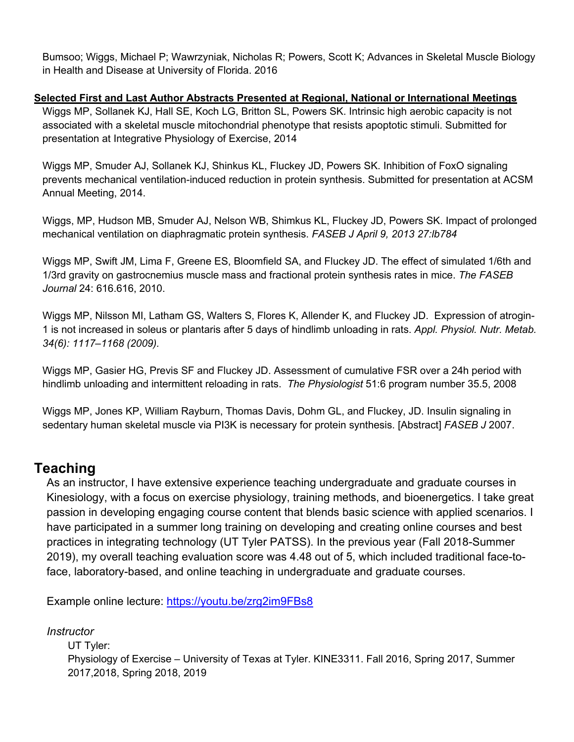Bumsoo; Wiggs, Michael P; Wawrzyniak, Nicholas R; Powers, Scott K; Advances in Skeletal Muscle Biology in Health and Disease at University of Florida. 2016

### **Selected First and Last Author Abstracts Presented at Regional, National or International Meetings**

Wiggs MP, Sollanek KJ, Hall SE, Koch LG, Britton SL, Powers SK. Intrinsic high aerobic capacity is not associated with a skeletal muscle mitochondrial phenotype that resists apoptotic stimuli. Submitted for presentation at Integrative Physiology of Exercise, 2014

Wiggs MP, Smuder AJ, Sollanek KJ, Shinkus KL, Fluckey JD, Powers SK. Inhibition of FoxO signaling prevents mechanical ventilation-induced reduction in protein synthesis. Submitted for presentation at ACSM Annual Meeting, 2014.

Wiggs, MP, Hudson MB, Smuder AJ, Nelson WB, Shimkus KL, Fluckey JD, Powers SK. Impact of prolonged mechanical ventilation on diaphragmatic protein synthesis. *FASEB J April 9, 2013 27:lb784*

Wiggs MP, Swift JM, Lima F, Greene ES, Bloomfield SA, and Fluckey JD. The effect of simulated 1/6th and 1/3rd gravity on gastrocnemius muscle mass and fractional protein synthesis rates in mice. *The FASEB Journal* 24: 616.616, 2010.

Wiggs MP, Nilsson MI, Latham GS, Walters S, Flores K, Allender K, and Fluckey JD. Expression of atrogin-1 is not increased in soleus or plantaris after 5 days of hindlimb unloading in rats. *Appl. Physiol. Nutr. Metab. 34(6): 1117–1168 (2009).*

Wiggs MP, Gasier HG, Previs SF and Fluckey JD. Assessment of cumulative FSR over a 24h period with hindlimb unloading and intermittent reloading in rats. *The Physiologist* 51:6 program number 35.5, 2008

Wiggs MP, Jones KP, William Rayburn, Thomas Davis, Dohm GL, and Fluckey, JD. Insulin signaling in sedentary human skeletal muscle via PI3K is necessary for protein synthesis. [Abstract] *FASEB J* 2007.

## **Teaching**

As an instructor, I have extensive experience teaching undergraduate and graduate courses in Kinesiology, with a focus on exercise physiology, training methods, and bioenergetics. I take great passion in developing engaging course content that blends basic science with applied scenarios. I have participated in a summer long training on developing and creating online courses and best practices in integrating technology (UT Tyler PATSS). In the previous year (Fall 2018-Summer 2019), my overall teaching evaluation score was 4.48 out of 5, which included traditional face-toface, laboratory-based, and online teaching in undergraduate and graduate courses.

Example online lecture: https://youtu.be/zrg2im9FBs8

*Instructor* UT Tyler: Physiology of Exercise – University of Texas at Tyler. KINE3311. Fall 2016, Spring 2017, Summer 2017,2018, Spring 2018, 2019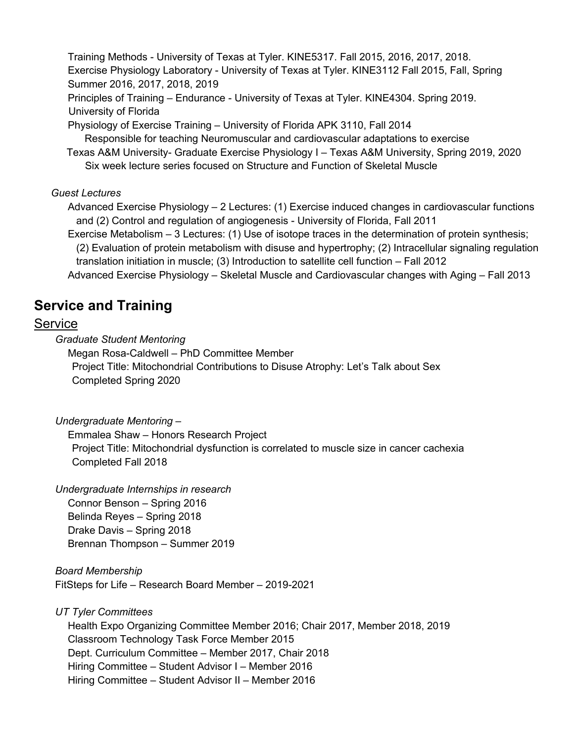Training Methods - University of Texas at Tyler. KINE5317. Fall 2015, 2016, 2017, 2018. Exercise Physiology Laboratory - University of Texas at Tyler. KINE3112 Fall 2015, Fall, Spring Summer 2016, 2017, 2018, 2019 Principles of Training – Endurance - University of Texas at Tyler. KINE4304. Spring 2019. University of Florida

Physiology of Exercise Training – University of Florida APK 3110, Fall 2014 Responsible for teaching Neuromuscular and cardiovascular adaptations to exercise

 Texas A&M University- Graduate Exercise Physiology I – Texas A&M University, Spring 2019, 2020 Six week lecture series focused on Structure and Function of Skeletal Muscle

### *Guest Lectures*

Advanced Exercise Physiology – 2 Lectures: (1) Exercise induced changes in cardiovascular functions and (2) Control and regulation of angiogenesis - University of Florida, Fall 2011

Exercise Metabolism – 3 Lectures: (1) Use of isotope traces in the determination of protein synthesis; (2) Evaluation of protein metabolism with disuse and hypertrophy; (2) Intracellular signaling regulation translation initiation in muscle; (3) Introduction to satellite cell function – Fall 2012

Advanced Exercise Physiology – Skeletal Muscle and Cardiovascular changes with Aging – Fall 2013

# **Service and Training**

### **Service**

*Graduate Student Mentoring* 

Megan Rosa-Caldwell – PhD Committee Member Project Title: Mitochondrial Contributions to Disuse Atrophy: Let's Talk about Sex Completed Spring 2020

### *Undergraduate Mentoring –*

Emmalea Shaw – Honors Research Project Project Title: Mitochondrial dysfunction is correlated to muscle size in cancer cachexia Completed Fall 2018

### *Undergraduate Internships in research*

Connor Benson – Spring 2016 Belinda Reyes – Spring 2018 Drake Davis – Spring 2018 Brennan Thompson – Summer 2019

### *Board Membership* FitSteps for Life – Research Board Member – 2019-2021

*UT Tyler Committees*

Health Expo Organizing Committee Member 2016; Chair 2017, Member 2018, 2019 Classroom Technology Task Force Member 2015 Dept. Curriculum Committee – Member 2017, Chair 2018 Hiring Committee – Student Advisor I – Member 2016 Hiring Committee – Student Advisor II – Member 2016